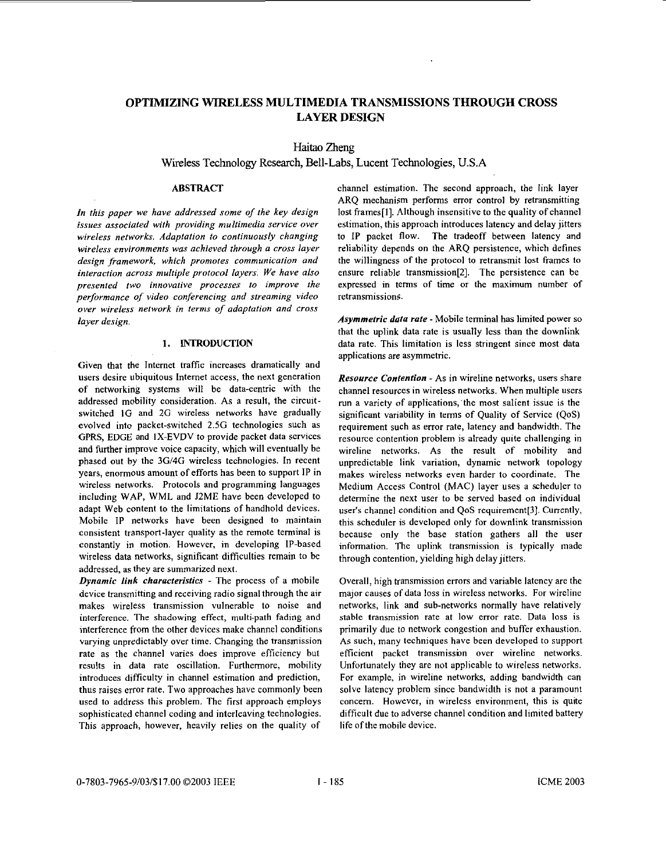# <span id="page-0-0"></span>**OPTIMIZING WIRELESS MULTIMEDIA TRANSMISSIONS THROUGH CROSS LAYER DESIGN**

## Haitao Zheng

Wireless Technology Research, Bell-Labs, Lucent Technologies, **USA** 

#### ABSTRACT

*In this paper we have addressed some of the key design issues associated with providing multimedia service over wireless networks. Adaptation to continuously changing wireless environments was achieved through a cross layer design framework, which promotes communication and interaction across multiple protocol layers. We have also presented two innovative processes Io improve the performance of video conferencing and streaming video over wireless network in terms of adaptation and cross layer design.* 

## **1. INTRODUCTION**

Given that the Internet traffic increases dramatically and users desire ubiquitous Internet access, the next generation of networking systems will be data-centric with the addressed mobility consideration. **As** a result, the circuitswitched IG and 2G wireless networks have gradually evolved into packet-switched 2.5G technologies such as GPRS, EDGE and IX-EVDV to provide packet data services and further improve voice capacity, which will eventually be phased out by the *3Gi4G* wireless technologies. In recent years, enormous amount of efforts has been to support IP in wireless networks. Protocols and programming languages including WAP, WML and J2ME have been developed to adapt Web content to the limitations of handhold devices. Mobile IP networks have been designed to maintain consistent transport-layer quality as the remote terminal is constantly in motion. However, in developing 1P-based wireless data networks, significant difficulties remain to be addressed, as they are summarized next.

*Dynamic link characteristics* - The process of a mobile device transmitting and receiving radio signal through the air makes wireless transmission vulnerable to noise and interference. The shadowing effect, multi-path fading and interference from the other devices make channel conditions varying unpredictably over time. Changing the transmission rate as the channel varies does improve efficiency but results in data rate oscillation. Furthermore, mobility introduces difficulty in channel estimation and prediction, thus raises error rate. Two approaches have commonly been used to address this problem. The first approach employs sophisticated channel coding and interleaving technologies. This approach, however, heavily relies on the quality of

channel estimation. The second approach, the link layer ARQ mechanism performs error control by retransmitting lost frames[l]. Although insensitive to the quality of channel estimation, this approach introduces latency and delay jitters to **IP** packet flow. The tradeoff between latency and reliability depends on the ARQ persistence, which defines the willingness of the protocol to retransmit lost frames to ensure reliable transmission[2]. The persistence can be expressed in terms of time or the maximum number of retransmissions.

*Asymmetric dura rate* - Mobile terminal has limited power so that the uplink data rate is usually less than the downlink data rate. This limitation is less stringent since most data applications are asymmetric.

*Resource Contention - As in wireline networks, users share* channel resources in wireless networks. When multiple users run a variety of applications, the most salient issue is the significant variability in terms of Quality of Service *(QoS)*  requirement such as error rate, latency and bandwidth. The resource contention problem is already quite challenging in wireline networks. As the result of mobility and unpredictable link variation, dynamic network topology makes wireless networks even harder to coordinate. The Medium Access Control (MAC) layer uses a scheduler to determine the next user to be served based on individual user's channel condition and QoS requirement[3]. Currently, this scheduler is developed only for downlink transmission because only the base station gathers all the user information. The uplink transmission is typically made through contention, yielding high delay jitters.

Overall, high transmission errors and variable latency are the major causes of data loss in wireless networks. For wireline networks, link and sub-networks normally have relatively stable transmission rate at low error rate. Data loss is primarily due to network congestion and buffer exhaustion. As such, many techniques have been developed to support efficient packet transmission over wireline networks. Unfortunately they are not applicable to wireless networks. For example, in wireline networks, adding bandwidth can solve latency problem since bandwidth is not a paramount concem. However, in wireless environment, this is quite difficult due to adverse channel condition and limited battery life of the mobile device.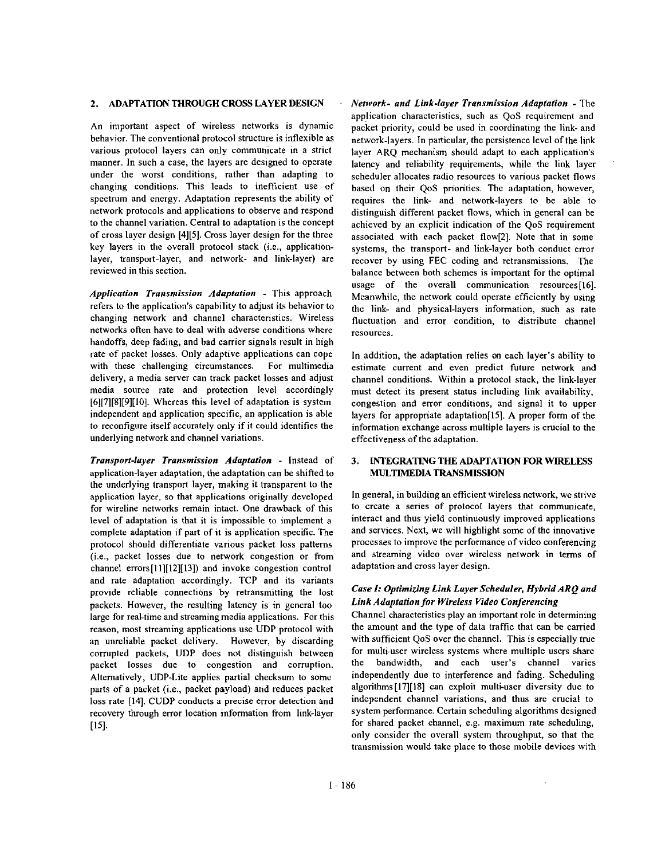#### **2.** ADAFTATION THROUGH CROSS LAYER DESIGN

An important aspect of wireless networks is dynamic behavior. The conventional protocol structure is inflexible as various protocol layers can only communicate in a strict manner. In such a case, the layers are designed to operate under the worst conditions, rather than adapting to changing conditions. This leads to inefficient use of spectrum and energy. Adaptation represents the ability of network protocols and applications to observe and respond to the channel variation. Central to adaptation is the concept of cross layer design [4][5]. Cross layer design for the three key layers in the overall protocol stack (i.e., applicationlayer, transport-layer, and network- and link-layer) are reviewed in this section.

*Application Transmission Adaptation* - This approach refers to the application's capability to adjust its behavior to changing network and channel characteristics. Wireless networks often have to deal with adverse conditions where handoffs, deep fading, and bad carrier signals result in high rate of packet losses. Only adaptive applications can cope with these challenging circumstances. For multimedia delivery, a media server can track packet losses and adjust media source rate and protection level accordingly [6][7][8][9][10]. Whereas this level of adaptation is system independent and application specific, an application is able to reconfigure itself accurately only if it could identifies the underlying network and channel variations.

*Transport-layer Transmission Adaptation* - Instead of application-layer adaptation, the adaptation can be shifted to the underlying transport layer, making it transparent to the application layer, so that applications originally developed for wireline networks remain intact. One drawback of this level of adaptation is that it is impossible to implement a complete adaptation if part of it is application specific. The protocol should differentiate various packet loss patterns (i.e., packet losses due to network congestion or from channel errors[l1][12][13]) and invoke congestion control and rate adaptation accordingly. TCP and its variants provide reliable connections by retransmitting the lost packets. However, the resulting latency is in general too large for real-time and streaming media applications. For this reason, most streaming applications use UDP protocol with an unreliable packet delivery. However, by discarding cormpted packets, UDP does not distinguish between packet losses due to congestion and corruption. Alternatively, UDP-Lite applies partial checksum to some parts of a packet (i.e., packet payload) and reduces packet loss rate [14]. CUDP conducts a precise error detection and recovery through error location information from link-layer **~51.** 

*Network- and Linkdayer Transmission Adaplalion* - The application characteristics, such as **QoS** requirement and packet priority, could be used in coordinating the link- and network-layers. In particular, the persistence level of the link layer ARQ mechanism should adapt to each application's latency and reliability requirements, while the link layer scheduler allocates radio resources to various packet flows based on their **QoS** priorities. The adaptation, however, requires the link- and network-layers to be able to distinguish different packet flows, which in general can be achieved by an explicit indication of the **QoS** requirement associated with each packet flow[2]. Note that in some systems, the transport- and link-layer both conduct error recover by using FEC coding and retransmissions. The balance between both schemes is important for the optimal usage of the overall communication resources[16]. Meanwhile, the network could operate efficiently by using the link- and physical-layers information, such as rate fluctuation and error condition, to distribute channel resources.

In addition, the adaptation relies on each layer's ability to estimate current and even predict future network and channel conditions. Within a protocol stack, the link-layer must detect its present status including link availability, congestion and error conditions, and signal it to upper layers for appropriate adaptation[l5]. A proper form of the information exchange across multiple layers is crucial to the effectiveness of the adaptation.

## **3.** INTEGRATING THE ADAFTATION FOR WIRELESS MULTIMEDIA TRANSMISSION

In general, in building an efficient wireless network, we strive to create a series of protocol layers that communicate, interact and thus yield continuously improved applications and services. Next, we will highlight some of the innovative processes to improve the performance of video conferencing and streaming video over wireless network in terms of adaptation and cross layer design.

## *Case I: Optimizing Link Layer Scheduler, Hybrid ARQ and Link Adaptation for Wireless Video Conferencing*

Channel characteristics play an important role in determining the amount and the type of data traffic that can be carried with sufficient QoS over the channel. This is especially true for multi-user wireless systems where multiple users share the bandwidth, and each user's channel varies independently due to interference and fading. Scheduling algorithms[l7][18] can exploit multi-user diversity due to independent channel variations, and thus are crucial to system performance. Certain scheduling algorithms designed for shared packet channel, e.g. maximum rate scheduling, only consider the overall system throughput, so that the transmission would take place to those mobile devices with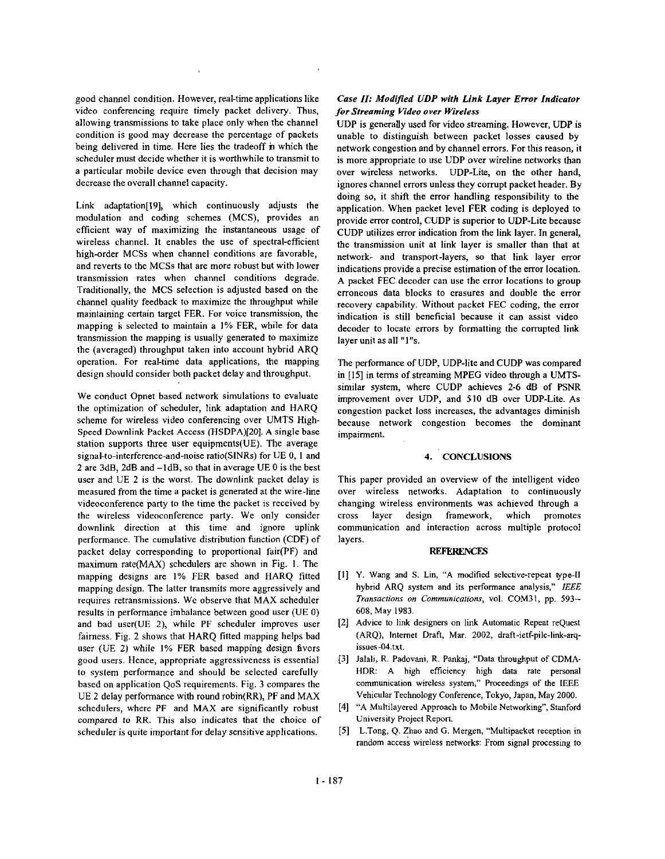good channel condition. However, real-time applications like video conferencing require timely packet delivery. Thus, allowing transmissions to take place only when the channel condition is good may decrease the percentage of packets being delivered in time. Here lies the tradeoff **n** which the scheduler must decide whether it is worthwhile to transmit to a particular mobile device even through that decision may decrease the overall channel capacity.

Link adaptation[l9], which continuously adjusts the modulation and coding schemes (MCS), provides an efficient way of maximizing the instantaneous usage of wireless channel. It enables the use of spectral-efficient high-order MCSs when channel conditions are favorable, and reverts to the MCSs that are more robust but with lower transmission rates when channel conditions degrade. Traditionally, the MCS selection is adjusted based on the channel quality feedback to maximize the throughput while maintaining certain target FER. For voice transmission, the mapping **i** selected to maintain a 1% FER, while for data transmission the mapping is usually generated to maximize the (averaged) throughput taken into account hybrid ARQ operation. For real-time data applications, the mapping design should consider both packet delay and throughput.

We conduct Opnet based network simulations to evaluate the optimization of scheduler, link adaptation and HARQ scheme for wireless video conferencing over UMTS High-Speed Downlink Packet Access (HSDPA)[ZO]. A single base station supports three user equipments(UE). The average signal-to-interference-and-noise ratio(S1NRs) for UE 0, I and 2 are 3dB, 2dB and -IdB, so that in average UE 0 is the best user and UE 2 is the worst. The downlink packet delay is measured from the time a packet is generated at the wire-line videoconference party to the time the packet is received by the wireless videoconference party. We only consider downlink direction at this time and ignore uplink performance. The cumulative distribution function (CDF) of packet delay corresponding to proportional fair(PF) and maximum rate(MAX) schedulers are shown in Fig. **1.** The mapping designs are **1%** FER based and HARQ fitted mapping design. The latter transmits more aggressively and requires retransmissions. We observe that MAX scheduler results in performance imbalance between good user (UE 0) and bad user(UE **2),** while PF scheduler improves user fairness. Fig. 2 shows that HARQ fitted mapping helps bad user (UE 2) while 1% FER based mapping design fivors good users. Hence, appropriate aggressiveness is essential to system performance and should be selected carefully based on application QoS requirements. Fig. **3** compares the UE 2 delay performance with round robin(RR), PF and MAX schedulers, where PF and MAX are significantly robust compared to RR. This also indicates that the choice of scheduler is quite important for delay sensitive applications.

## *Case 11: Modified UDP with Link Layer Error Indicator for Streaming Video over Wireless*

UDP is generally used for video streaming. However, UDP is unable to distinguish between packet losses caused by network congestion and by channel errors. For this reason, it is more appropriate to use UDP over wireline networks than over wireless networks. UDP-Lite, on the other hand, ignores channel errors unless they corrupt packet header. By doing so, it shift the error handling responsibility to the application. When packet level FER coding is deployed to provide error control, CUDP is superior to UDP-Lite because CUDP utilizes error indication from the link layer. In general, the transmission unit at link layer is smaller than that at network- and transport-layers, so that link layer error indications provide a precise estimation of the error location. A packet FEC decoder can use the error locations to group erroneous data blocks to erasures and donhle the error recovery capability. Without packet FEC coding, the error indication is still beneficial because it can assist video decoder to locate errors by formatting the corrupted link layer unit as all **"1"s.** 

The performance of UDP, UDP-lite and CUDP was compared in **[I51** in terms of streaming MPEG video through a UMTSsimilar system, where CUDP achieves 2-6 dB of PSNR improvement over UDP, and 510 dB over UDP-Lite. **As**  congestion packet loss increases, the advantages diminish because network congestion becomes the dominant impairment.

#### **4. CONCLUSIONS**

This paper provided an overview of the intelligent video over wireless networks. Adaptation to continuously changing wireless environments was achieved through a cross layer design framework, which promotes communication and interaction across multiple protocol layers.

#### **REFERENCES**

- [I] **Y.** Wang and **S.** Lin, "A modified selective-repeat type-11 hybrid ARQ system and its performance analysis," IEEE *Transactions on Communications,* vol. COM31, pp. **593.- 608,** May **1983.**
- **[2]** Advice to link designers on link Automatic Repeat reQuest (ARQ), Internet Draft, Mar. 2002, **draft-ietFpilc-link-arq**issues-04.txt.
- **[3]** Jalali, R. Padovani, R. Pankaj, "Data throughput of CDMA-HDR: A high efficiency high data rate personal communication wireless system," Proceedings of the IEEE Vehicular Technology Conference, Tokyo, Japan, May 2000.
- **[4]** "A Multilayered Approach to Mobile Networking", Stanford University Project Report.
- **[5]** L.Tong, Q. Zhao and G. Mergen, "Multipacket reception in random access wireless networks: From signal processing to